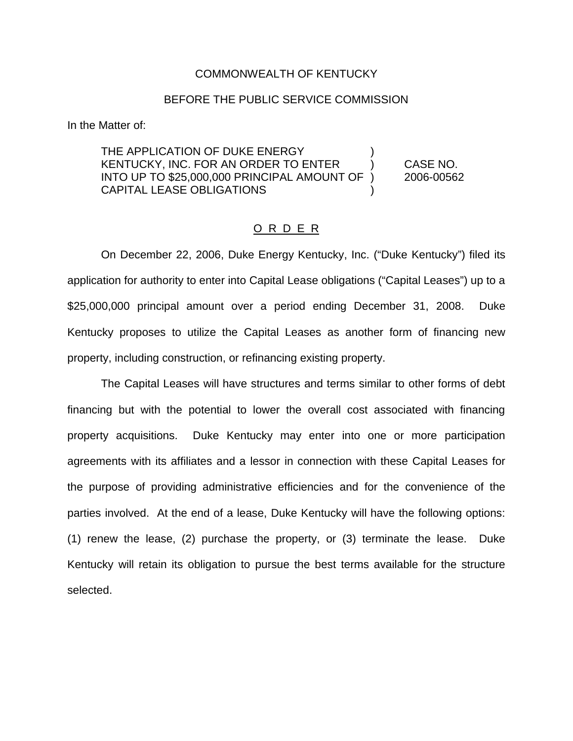## COMMONWEALTH OF KENTUCKY

## BEFORE THE PUBLIC SERVICE COMMISSION

In the Matter of:

THE APPLICATION OF DUKE ENERGY KENTUCKY, INC. FOR AN ORDER TO ENTER ) CASE NO. INTO UP TO \$25,000,000 PRINCIPAL AMOUNT OF ) 2006-00562 CAPITAL LEASE OBLIGATIONS )

## O R D E R

On December 22, 2006, Duke Energy Kentucky, Inc. ("Duke Kentucky") filed its application for authority to enter into Capital Lease obligations ("Capital Leases") up to a \$25,000,000 principal amount over a period ending December 31, 2008. Duke Kentucky proposes to utilize the Capital Leases as another form of financing new property, including construction, or refinancing existing property.

The Capital Leases will have structures and terms similar to other forms of debt financing but with the potential to lower the overall cost associated with financing property acquisitions. Duke Kentucky may enter into one or more participation agreements with its affiliates and a lessor in connection with these Capital Leases for the purpose of providing administrative efficiencies and for the convenience of the parties involved. At the end of a lease, Duke Kentucky will have the following options: (1) renew the lease, (2) purchase the property, or (3) terminate the lease. Duke Kentucky will retain its obligation to pursue the best terms available for the structure selected.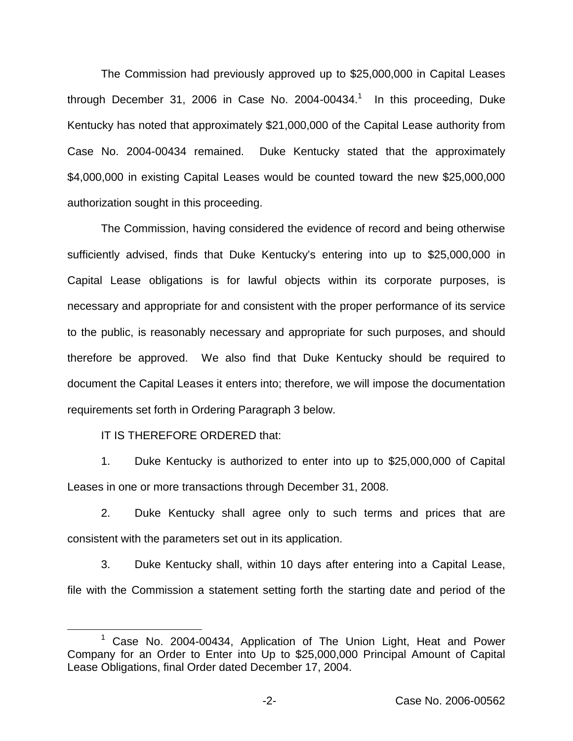The Commission had previously approved up to \$25,000,000 in Capital Leases through December 31, 2006 in Case No. 2004-00434.<sup>1</sup> In this proceeding, Duke Kentucky has noted that approximately \$21,000,000 of the Capital Lease authority from Case No. 2004-00434 remained. Duke Kentucky stated that the approximately \$4,000,000 in existing Capital Leases would be counted toward the new \$25,000,000 authorization sought in this proceeding.

The Commission, having considered the evidence of record and being otherwise sufficiently advised, finds that Duke Kentucky's entering into up to \$25,000,000 in Capital Lease obligations is for lawful objects within its corporate purposes, is necessary and appropriate for and consistent with the proper performance of its service to the public, is reasonably necessary and appropriate for such purposes, and should therefore be approved. We also find that Duke Kentucky should be required to document the Capital Leases it enters into; therefore, we will impose the documentation requirements set forth in Ordering Paragraph 3 below.

IT IS THEREFORE ORDERED that:

1. Duke Kentucky is authorized to enter into up to \$25,000,000 of Capital Leases in one or more transactions through December 31, 2008.

2. Duke Kentucky shall agree only to such terms and prices that are consistent with the parameters set out in its application.

3. Duke Kentucky shall, within 10 days after entering into a Capital Lease, file with the Commission a statement setting forth the starting date and period of the

Case No. 2004-00434, Application of The Union Light, Heat and Power Company for an Order to Enter into Up to \$25,000,000 Principal Amount of Capital Lease Obligations, final Order dated December 17, 2004.